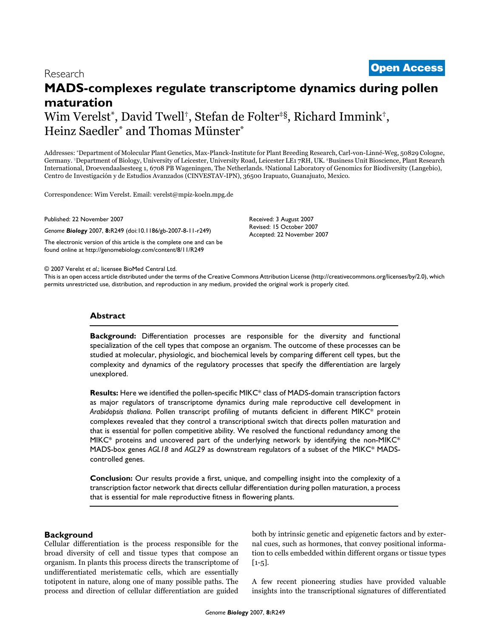<sup>2007</sup> Verelst et al. Volume 8, Issue 11, Article R249 **[Open Access](http://www.biomedcentral.com/info/about/charter/)** Research

# **MADS-complexes regulate transcriptome dynamics during pollen maturation** Wim Verelst\*, David Twell<sup>†</sup>, Stefan de Folter<sup>‡§</sup>, Richard Immink<sup>†</sup>,

Heinz Saedler\* and Thomas Münster\*

Addresses: \*Department of Molecular Plant Genetics, Max-Planck-Institute for Plant Breeding Research, Carl-von-Linné-Weg, 50829 Cologne, Germany. †Department of Biology, University of Leicester, University Road, Leicester LE1 7RH, UK. ‡Business Unit Bioscience, Plant Research International, Droevendaalsesteeg 1, 6708 PB Wageningen, The Netherlands. §National Laboratory of Genomics for Biodiversity (Langebio), Centro de Investigación y de Estudios Avanzados (CINVESTAV-IPN), 36500 Irapuato, Guanajuato, Mexico.

> Received: 3 August 2007 Revised: 15 October 2007 Accepted: 22 November 2007

Correspondence: Wim Verelst. Email: verelst@mpiz-koeln.mpg.de

Published: 22 November 2007

*Genome Biology* 2007, **8:**R249 (doi:10.1186/gb-2007-8-11-r249)

[The electronic version of this article is the complete one and can be](http://genomebiology.com/content/8/11/R249)  found online at http://genomebiology.com/content/8/11/R249

© 2007 Verelst *et al*.; licensee BioMed Central Ltd.

[This is an open access article distributed under the terms of the Creative Commons Attribution License \(http://creativecommons.org/licenses/by/2.0\), which](http://creativecommons.org/licenses/by/2.0)  permits unrestricted use, distribution, and reproduction in any medium, provided the original work is properly cited.

# **Abstract**

**Background:** Differentiation processes are responsible for the diversity and functional specialization of the cell types that compose an organism. The outcome of these processes can be studied at molecular, physiologic, and biochemical levels by comparing different cell types, but the complexity and dynamics of the regulatory processes that specify the differentiation are largely unexplored.

**Results:** Here we identified the pollen-specific MIKC\* class of MADS-domain transcription factors as major regulators of transcriptome dynamics during male reproductive cell development in *Arabidopsis thaliana*. Pollen transcript profiling of mutants deficient in different MIKC\* protein complexes revealed that they control a transcriptional switch that directs pollen maturation and that is essential for pollen competitive ability. We resolved the functional redundancy among the MIKC\* proteins and uncovered part of the underlying network by identifying the non-MIKC\* MADS-box genes *AGL18* and *AGL29* as downstream regulators of a subset of the MIKC\* MADScontrolled genes.

**Conclusion:** Our results provide a first, unique, and compelling insight into the complexity of a transcription factor network that directs cellular differentiation during pollen maturation, a process that is essential for male reproductive fitness in flowering plants.

# **Background**

Cellular differentiation is the process responsible for the broad diversity of cell and tissue types that compose an organism. In plants this process directs the transcriptome of undifferentiated meristematic cells, which are essentially totipotent in nature, along one of many possible paths. The process and direction of cellular differentiation are guided both by intrinsic genetic and epigenetic factors and by external cues, such as hormones, that convey positional information to cells embedded within different organs or tissue types  $[1-5]$ .

A few recent pioneering studies have provided valuable insights into the transcriptional signatures of differentiated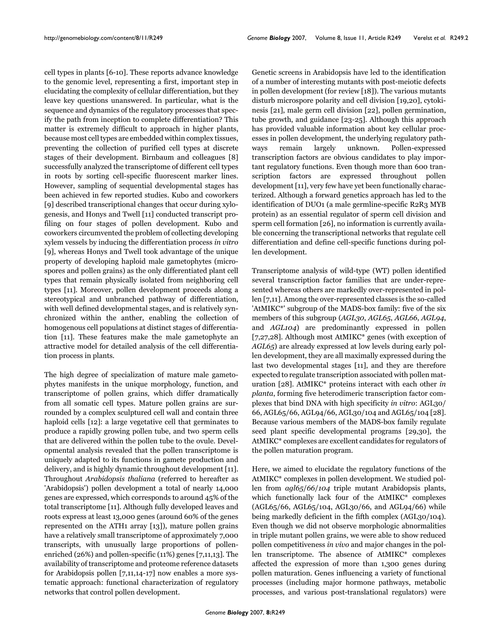cell types in plants [6-10]. These reports advance knowledge to the genomic level, representing a first, important step in elucidating the complexity of cellular differentiation, but they leave key questions unanswered. In particular, what is the sequence and dynamics of the regulatory processes that specify the path from inception to complete differentiation? This matter is extremely difficult to approach in higher plants, because most cell types are embedded within complex tissues, preventing the collection of purified cell types at discrete stages of their development. Birnbaum and colleagues [8] successfully analyzed the transcriptome of different cell types in roots by sorting cell-specific fluorescent marker lines. However, sampling of sequential developmental stages has been achieved in few reported studies. Kubo and coworkers [9] described transcriptional changes that occur during xylogenesis, and Honys and Twell [11] conducted transcript profiling on four stages of pollen development. Kubo and coworkers circumvented the problem of collecting developing xylem vessels by inducing the differentiation process *in vitro* [9], whereas Honys and Twell took advantage of the unique property of developing haploid male gametophytes (microspores and pollen grains) as the only differentiated plant cell types that remain physically isolated from neighboring cell types [11]. Moreover, pollen development proceeds along a stereotypical and unbranched pathway of differentiation, with well defined developmental stages, and is relatively synchronized within the anther, enabling the collection of homogenous cell populations at distinct stages of differentiation [11]. These features make the male gametophyte an attractive model for detailed analysis of the cell differentiation process in plants.

The high degree of specialization of mature male gametophytes manifests in the unique morphology, function, and transcriptome of pollen grains, which differ dramatically from all somatic cell types. Mature pollen grains are surrounded by a complex sculptured cell wall and contain three haploid cells [12]: a large vegetative cell that germinates to produce a rapidly growing pollen tube, and two sperm cells that are delivered within the pollen tube to the ovule. Developmental analysis revealed that the pollen transcriptome is uniquely adapted to its functions in gamete production and delivery, and is highly dynamic throughout development [11]. Throughout *Arabidopsis thaliana* (referred to hereafter as 'Arabidopsis') pollen development a total of nearly 14,000 genes are expressed, which corresponds to around 45% of the total transcriptome [11]. Although fully developed leaves and roots express at least 13,000 genes (around 60% of the genes represented on the ATH1 array [13]), mature pollen grains have a relatively small transcriptome of approximately 7,000 transcripts, with unusually large proportions of pollenenriched (26%) and pollen-specific (11%) genes [7,11,13]. The availability of transcriptome and proteome reference datasets for Arabidopsis pollen [7,11,14-17] now enables a more systematic approach: functional characterization of regulatory networks that control pollen development.

Genetic screens in Arabidopsis have led to the identification of a number of interesting mutants with post-meiotic defects in pollen development (for review [18]). The various mutants disturb microspore polarity and cell division [[19](#page-13-0),20], cytokinesis [21], male germ cell division [22], pollen germination, tube growth, and guidance [23-25]. Although this approach has provided valuable information about key cellular processes in pollen development, the underlying regulatory pathways remain largely unknown. Pollen-expressed transcription factors are obvious candidates to play important regulatory functions. Even though more than 600 transcription factors are expressed throughout pollen development [11], very few have yet been functionally characterized. Although a forward genetics approach has led to the identification of DUO1 (a male germline-specific R2R3 MYB protein) as an essential regulator of sperm cell division and sperm cell formation [26], no information is currently available concerning the transcriptional networks that regulate cell differentiation and define cell-specific functions during pollen development.

Transcriptome analysis of wild-type (WT) pollen identified several transcription factor families that are under-represented whereas others are markedly over-represented in pollen [7,11]. Among the over-represented classes is the so-called 'AtMIKC\*' subgroup of the MADS-box family: five of the six members of this subgroup (*AGL30*, *AGL65*, *AGL66*, *AGL94*, and *AGL104*) are predominantly expressed in pollen [7,27,28]. Although most AtMIKC\* genes (with exception of *AGL65*) are already expressed at low levels during early pollen development, they are all maximally expressed during the last two developmental stages [11], and they are therefore expected to regulate transcription associated with pollen maturation [28]. AtMIKC\* proteins interact with each other *in planta*, forming five heterodimeric transcription factor complexes that bind DNA with high specificity *in vitro*: AGL30/ 66, AGL65/66, AGL94/66, AGL30/104 and AGL65/104 [28]. Because various members of the MADS-box family regulate seed plant specific developmental programs [29,30], the AtMIKC\* complexes are excellent candidates for regulators of the pollen maturation program.

Here, we aimed to elucidate the regulatory functions of the AtMIKC\* complexes in pollen development. We studied pollen from *agl65*/*66*/*104* triple mutant Arabidopsis plants, which functionally lack four of the AtMIKC\* complexes (AGL65/66, AGL65/104, AGL30/66, and AGL94/66) while being markedly deficient in the fifth complex (AGL30/104). Even though we did not observe morphologic abnormalities in triple mutant pollen grains, we were able to show reduced pollen competitiveness *in vivo* and major changes in the pollen transcriptome. The absence of AtMIKC\* complexes affected the expression of more than 1,300 genes during pollen maturation. Genes influencing a variety of functional processes (including major hormone pathways, metabolic processes, and various post-translational regulators) were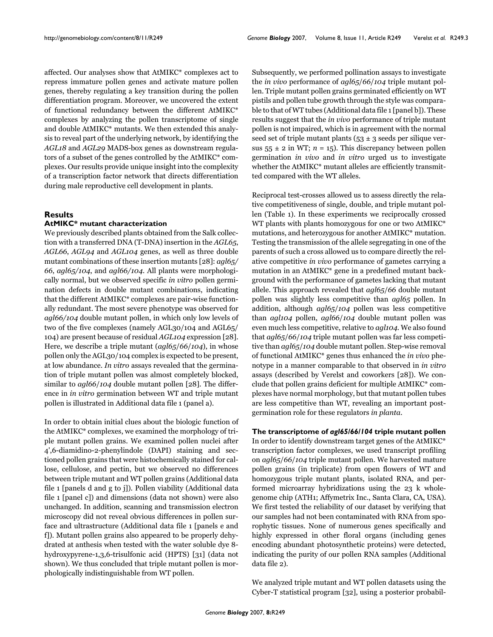affected. Our analyses show that AtMIKC\* complexes act to repress immature pollen genes and activate mature pollen genes, thereby regulating a key transition during the pollen differentiation program. Moreover, we uncovered the extent of functional redundancy between the different AtMIKC\* complexes by analyzing the pollen transcriptome of single and double AtMIKC\* mutants. We then extended this analysis to reveal part of the underlying network, by identifying the *AGL18* and *AGL29* MADS-box genes as downstream regulators of a subset of the genes controlled by the AtMIKC\* complexes. Our results provide unique insight into the complexity of a transcription factor network that directs differentiation during male reproductive cell development in plants.

# **Results**

# **AtMIKC\* mutant characterization**

We previously described plants obtained from the Salk collection with a transferred DNA (T-DNA) insertion in the *AGL65*, *AGL66*, *AGL94* and *AGL104* genes, as well as three double mutant combinations of these insertion mutants [28]: *agl65/ 66*, *agl65/104*, and *agl66/104*. All plants were morphologically normal, but we observed specific *in vitro* pollen germination defects in double mutant combinations, indicating that the different AtMIKC\* complexes are pair-wise functionally redundant. The most severe phenotype was observed for *agl66/104* double mutant pollen, in which only low levels of two of the five complexes (namely AGL30/104 and AGL65/ 104) are present because of residual *AGL104* expression [28]. Here, we describe a triple mutant (*agl65*/*66*/*104*), in whose pollen only the AGL30/104 complex is expected to be present, at low abundance. *In vitro* assays revealed that the germination of triple mutant pollen was almost completely blocked, similar to *agl66*/*104* double mutant pollen [28]. The difference in *in vitro* germination between WT and triple mutant pollen is illustrated in Additional data file 1 (panel a).

In order to obtain initial clues about the biologic function of the AtMIKC\* complexes, we examined the morphology of triple mutant pollen grains. We examined pollen nuclei after 4',6-diamidino-2-phenylindole (DAPI) staining and sectioned pollen grains that were histochemically stained for callose, cellulose, and pectin, but we observed no differences between triple mutant and WT pollen grains (Additional data file 1 [panels d and g to j]). Pollen viability (Additional data file 1 [panel c]) and dimensions (data not shown) were also unchanged. In addition, scanning and transmission electron microscopy did not reveal obvious differences in pollen surface and ultrastructure (Additional data file 1 [panels e and f]). Mutant pollen grains also appeared to be properly dehydrated at anthesis when tested with the water soluble dye 8 hydroxypyrene-1,3,6-trisulfonic acid (HPTS) [31] (data not shown). We thus concluded that triple mutant pollen is morphologically indistinguishable from WT pollen.

Subsequently, we performed pollination assays to investigate the *in vivo* performance of *agl65*/*66*/*104* triple mutant pollen. Triple mutant pollen grains germinated efficiently on WT pistils and pollen tube growth through the style was comparable to that of WT tubes (Additional data file 1 [panel b]). These results suggest that the *in vivo* performance of triple mutant pollen is not impaired, which is in agreement with the normal seed set of triple mutant plants ( $53 \pm 3$  seeds per silique versus  $55 \pm 2$  in WT;  $n = 15$ ). This discrepancy between pollen germination *in vivo* and *in vitro* urged us to investigate whether the AtMIKC\* mutant alleles are efficiently transmitted compared with the WT alleles.

Reciprocal test-crosses allowed us to assess directly the relative competitiveness of single, double, and triple mutant pollen (Table [1](#page-3-0)). In these experiments we reciprocally crossed WT plants with plants homozygous for one or two AtMIKC\* mutations, and heterozygous for another AtMIKC\* mutation. Testing the transmission of the allele segregating in one of the parents of such a cross allowed us to compare directly the relative competitive *in vivo* performance of gametes carrying a mutation in an AtMIKC\* gene in a predefined mutant background with the performance of gametes lacking that mutant allele. This approach revealed that *agl65*/*66* double mutant pollen was slightly less competitive than *agl65* pollen. In addition, although *agl65*/*104* pollen was less competitive than *agl104* pollen, *agl66*/*104* double mutant pollen was even much less competitive, relative to *agl104*. We also found that *agl65*/*66*/*104* triple mutant pollen was far less competitive than *agl65*/*104* double mutant pollen. Step-wise removal of functional AtMIKC\* genes thus enhanced the *in vivo* phenotype in a manner comparable to that observed in *in vitro* assays (described by Verelst and coworkers [28]). We conclude that pollen grains deficient for multiple AtMIKC\* complexes have normal morphology, but that mutant pollen tubes are less competitive than WT, revealing an important postgermination role for these regulators *in planta*.

**The transcriptome of** *agl65/66/104* **triple mutant pollen** In order to identify downstream target genes of the AtMIKC\* transcription factor complexes, we used transcript profiling on *agl65*/*66*/*104* triple mutant pollen. We harvested mature pollen grains (in triplicate) from open flowers of WT and homozygous triple mutant plants, isolated RNA, and performed microarray hybridizations using the 23 k wholegenome chip (ATH1; Affymetrix Inc., Santa Clara, CA, USA). We first tested the reliability of our dataset by verifying that our samples had not been contaminated with RNA from sporophytic tissues. None of numerous genes specifically and highly expressed in other floral organs (including genes encoding abundant photosynthetic proteins) were detected, indicating the purity of our pollen RNA samples (Additional data file 2).

We analyzed triple mutant and WT pollen datasets using the Cyber-T statistical program [32], using a posterior probabil-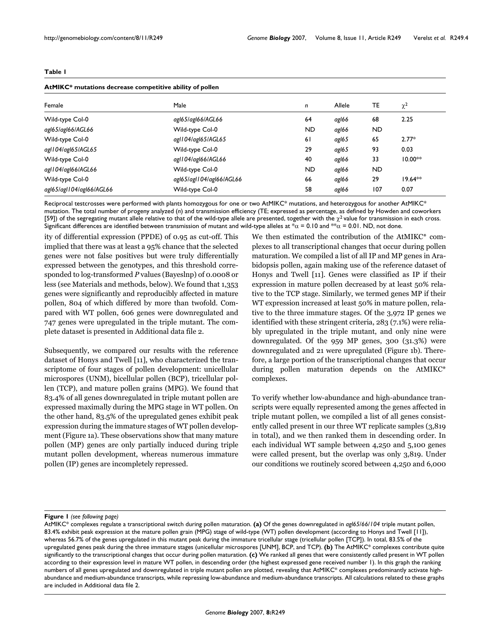<span id="page-3-0"></span>

#### **AtMIKC\* mutations decrease competitive ability of pollen**

| Female                   | Male                     | n         | Allele | TE        | $\chi^2$  |
|--------------------------|--------------------------|-----------|--------|-----------|-----------|
| Wild-type Col-0          | agl65/agl66/AGL66        | 64        | agl66  | 68        | 2.25      |
| agl65/agl66/AGL66        | Wild-type Col-0          | <b>ND</b> | agl66  | <b>ND</b> |           |
| Wild-type Col-0          | agl104/agl65/AGL65       | 61        | agl65  | 65        | $2.77*$   |
| agl   04/agl 65/AGL 65   | Wild-type Col-0          | 29        | agl65  | 93        | 0.03      |
| Wild-type Col-0          | agl104/agl66/AGL66       | 40        | agl66  | 33        | $10.00**$ |
| agl   04/agl66/AGL66     | Wild-type Col-0          | <b>ND</b> | agl66  | ND        |           |
| Wild-type Col-0          | agl65/agl104/agl66/AGL66 | 66        | agl66  | 29        | $19.64**$ |
| agl65/agl104/agl66/AGL66 | Wild-type Col-0          | 58        | agl66  | 107       | 0.07      |

Reciprocal testcrosses were performed with plants homozygous for one or two AtMIKC\* mutations, and heterozygous for another AtMIKC\* mutation. The total number of progeny analyzed (*n*) and transmission efficiency (TE; expressed as percentage, as defined by Howden and coworkers [59]) of the segregating mutant allele relative to that of the wild-type allele are presented, together with the  $\chi^2$  value for transmission in each cross. Significant differences are identified between transmission of mutant and wild-type alleles at  $x \alpha = 0.10$  and  $x \alpha = 0.01$ . ND, not done.

ity of differential expression (PPDE) of 0.95 as cut-off. This implied that there was at least a 95% chance that the selected genes were not false positives but were truly differentially expressed between the genotypes, and this threshold corresponded to log-transformed *P* values (Bayeslnp) of 0.0008 or less (see Materials and methods, below). We found that 1,353 genes were significantly and reproducibly affected in mature pollen, 804 of which differed by more than twofold. Compared with WT pollen, 606 genes were downregulated and 747 genes were upregulated in the triple mutant. The complete dataset is presented in Additional data file 2.

Subsequently, we compared our results with the reference dataset of Honys and Twell [11], who characterized the transcriptome of four stages of pollen development: unicellular microspores (UNM), bicellular pollen (BCP), tricellular pollen (TCP), and mature pollen grains (MPG). We found that 83.4% of all genes downregulated in triple mutant pollen are expressed maximally during the MPG stage in WT pollen. On the other hand, 83.5% of the upregulated genes exhibit peak expression during the immature stages of WT pollen development (Figure 1a). These observations show that many mature pollen (MP) genes are only partially induced during triple mutant pollen development, whereas numerous immature pollen (IP) genes are incompletely repressed.

We then estimated the contribution of the AtMIKC\* complexes to all transcriptional changes that occur during pollen maturation. We compiled a list of all IP and MP genes in Arabidopsis pollen, again making use of the reference dataset of Honys and Twell [11]. Genes were classified as IP if their expression in mature pollen decreased by at least 50% relative to the TCP stage. Similarly, we termed genes MP if their WT expression increased at least 50% in mature pollen, relative to the three immature stages. Of the 3,972 IP genes we identified with these stringent criteria, 283 (7.1%) were reliably upregulated in the triple mutant, and only nine were downregulated. Of the 959 MP genes, 300 (31.3%) were downregulated and 21 were upregulated (Figure 1b). Therefore, a large portion of the transcriptional changes that occur during pollen maturation depends on the AtMIKC\* complexes.

To verify whether low-abundance and high-abundance transcripts were equally represented among the genes affected in triple mutant pollen, we compiled a list of all genes consistently called present in our three WT replicate samples (3,819 in total), and we then ranked them in descending order. In each individual WT sample between 4,250 and 5,100 genes were called present, but the overlap was only 3,819. Under our conditions we routinely scored between 4,250 and 6,000

#### **Figure 1** (see following page)

AtMIKC\* complexes regulate a transcriptional switch during pollen maturation. **(a)** Of the genes downregulated in *agl65*/*66*/*104* triple mutant pollen, 83.4% exhibit peak expression at the mature pollen grain (MPG) stage of wild-type (WT) pollen development (according to Honys and Twell [11]), whereas 56.7% of the genes upregulated in this mutant peak during the immature tricellular stage (tricellular pollen [TCP]). In total, 83.5% of the upregulated genes peak during the three immature stages (unicellular microspores [UNM], BCP, and TCP). **(b)** The AtMIKC\* complexes contribute quite significantly to the transcriptional changes that occur during pollen maturation. **(c)** We ranked all genes that were consistently called present in WT pollen according to their expression level in mature WT pollen, in descending order (the highest expressed gene received number 1). In this graph the ranking numbers of all genes upregulated and downregulated in triple mutant pollen are plotted, revealing that AtMIKC\* complexes predominantly activate highabundance and medium-abundance transcripts, while repressing low-abundance and medium-abundance transcripts. All calculations related to these graphs are included in Additional data file 2.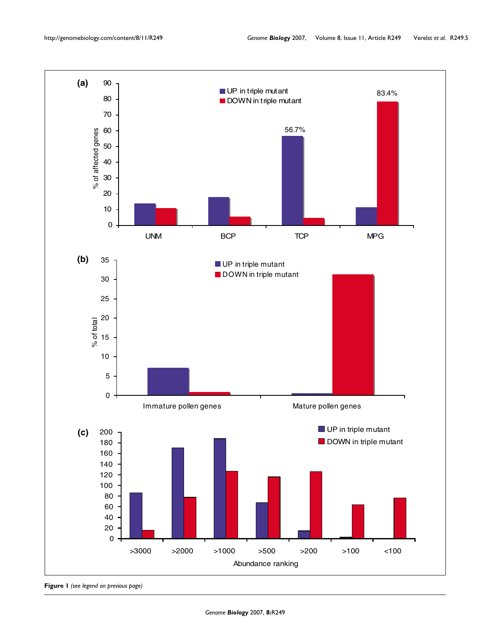

**Figure 1** *(see legend on previous page)*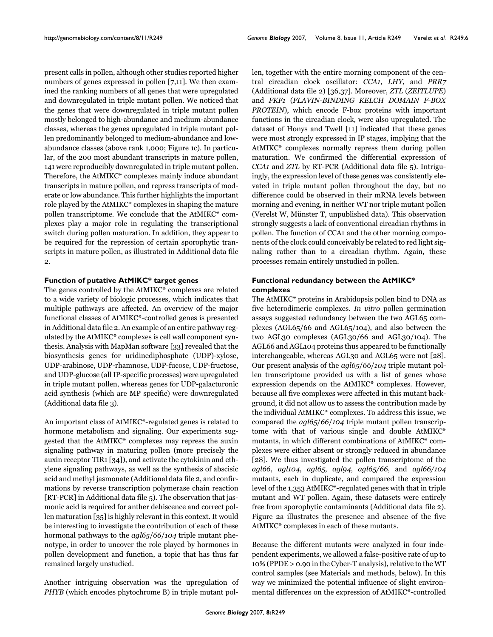present calls in pollen, although other studies reported higher numbers of genes expressed in pollen [7,11]. We then examined the ranking numbers of all genes that were upregulated and downregulated in triple mutant pollen. We noticed that the genes that were downregulated in triple mutant pollen mostly belonged to high-abundance and medium-abundance classes, whereas the genes upregulated in triple mutant pollen predominantly belonged to medium-abundance and lowabundance classes (above rank 1,000; Figure 1c). In particular, of the 200 most abundant transcripts in mature pollen, 141 were reproducibly downregulated in triple mutant pollen. Therefore, the AtMIKC\* complexes mainly induce abundant transcripts in mature pollen, and repress transcripts of moderate or low abundance. This further highlights the important role played by the AtMIKC\* complexes in shaping the mature pollen transcriptome. We conclude that the AtMIKC\* complexes play a major role in regulating the transcriptional switch during pollen maturation. In addition, they appear to be required for the repression of certain sporophytic transcripts in mature pollen, as illustrated in Additional data file 2.

#### **Function of putative AtMIKC\* target genes**

The genes controlled by the AtMIKC\* complexes are related to a wide variety of biologic processes, which indicates that multiple pathways are affected. An overview of the major functional classes of AtMIKC\*-controlled genes is presented in Additional data file 2. An example of an entire pathway regulated by the AtMIKC\* complexes is cell wall component synthesis. Analysis with MapMan software [33] revealed that the biosynthesis genes for uridinediphosphate (UDP)-xylose, UDP-arabinose, UDP-rhamnose, UDP-fucose, UDP-fructose, and UDP-glucose (all IP-specific processes) were upregulated in triple mutant pollen, whereas genes for UDP-galacturonic acid synthesis (which are MP specific) were downregulated (Additional data file 3).

An important class of AtMIKC\*-regulated genes is related to hormone metabolism and signaling. Our experiments suggested that the AtMIKC\* complexes may repress the auxin signaling pathway in maturing pollen (more precisely the auxin receptor TIR1 [34]), and activate the cytokinin and ethylene signaling pathways, as well as the synthesis of abscisic acid and methyl jasmonate (Additional data file 2, and confirmations by reverse transcription polymerase chain reaction [RT-PCR] in Additional data file 5). The observation that jasmonic acid is required for anther dehiscence and correct pollen maturation [35] is highly relevant in this context. It would be interesting to investigate the contribution of each of these hormonal pathways to the *agl65*/*66*/*104* triple mutant phenotype, in order to uncover the role played by hormones in pollen development and function, a topic that has thus far remained largely unstudied.

Another intriguing observation was the upregulation of *PHYB* (which encodes phytochrome B) in triple mutant pollen, together with the entire morning component of the central circadian clock oscillator: *CCA1*, *LHY*, and *PRR7* (Additional data file 2) [36,37]. Moreover, *ZTL* (*ZEITLUPE*) and *FKF1* (*FLAVIN-BINDING KELCH DOMAIN F-BOX PROTEIN*), which encode F-box proteins with important functions in the circadian clock, were also upregulated. The dataset of Honys and Twell [11] indicated that these genes were most strongly expressed in IP stages, implying that the AtMIKC\* complexes normally repress them during pollen maturation. We confirmed the differential expression of *CCA1* and *ZTL* by RT-PCR (Additional data file 5). Intriguingly, the expression level of these genes was consistently elevated in triple mutant pollen throughout the day, but no difference could be observed in their mRNA levels between morning and evening, in neither WT nor triple mutant pollen (Verelst W, Münster T, unpublished data). This observation strongly suggests a lack of conventional circadian rhythms in pollen. The function of CCA1 and the other morning components of the clock could conceivably be related to red light signaling rather than to a circadian rhythm. Again, these processes remain entirely unstudied in pollen.

# **Functional redundancy between the AtMIKC\* complexes**

The AtMIKC\* proteins in Arabidopsis pollen bind to DNA as five heterodimeric complexes. *In vitro* pollen germination assays suggested redundancy between the two AGL65 complexes (AGL65/66 and AGL65/104), and also between the two AGL30 complexes (AGL30/66 and AGL30/104). The AGL66 and AGL104 proteins thus appeared to be functionally interchangeable, whereas AGL30 and AGL65 were not [28]. Our present analysis of the *agl65*/*66*/*104* triple mutant pollen transcriptome provided us with a list of genes whose expression depends on the AtMIKC\* complexes. However, because all five complexes were affected in this mutant background, it did not allow us to assess the contribution made by the individual AtMIKC\* complexes. To address this issue, we compared the *agl65*/*66*/*104* triple mutant pollen transcriptome with that of various single and double AtMIKC\* mutants, in which different combinations of AtMIKC\* complexes were either absent or strongly reduced in abundance [28]. We thus investigated the pollen transcriptome of the *agl66*, *agl104*, *agl65*, *agl94*, *agl65/66*, and *agl66/104* mutants, each in duplicate, and compared the expression level of the 1,353 AtMIKC\*-regulated genes with that in triple mutant and WT pollen. Again, these datasets were entirely free from sporophytic contaminants (Additional data file 2). Figure 2a illustrates the presence and absence of the five AtMIKC\* complexes in each of these mutants.

Because the different mutants were analyzed in four independent experiments, we allowed a false-positive rate of up to 10% (PPDE > 0.90 in the Cyber-T analysis), relative to the WT control samples (see Materials and methods, below). In this way we minimized the potential influence of slight environmental differences on the expression of AtMIKC\*-controlled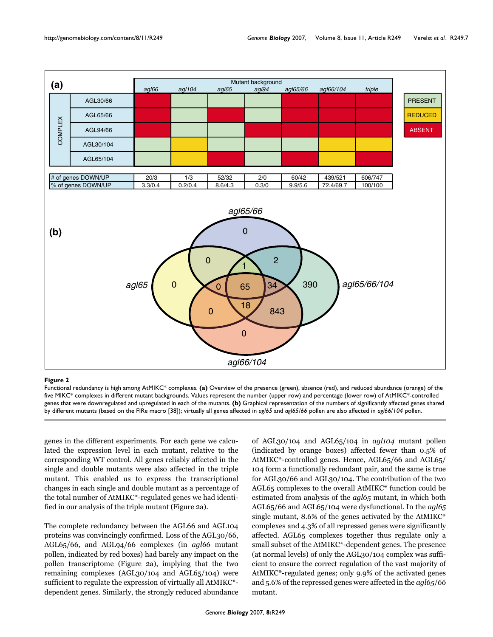

#### Figure 2

Functional redundancy is high among AtMIKC\* complexes. **(a)** Overview of the presence (green), absence (red), and reduced abundance (orange) of the five MIKC\* complexes in different mutant backgrounds. Values represent the number (upper row) and percentage (lower row) of AtMIKC\*-controlled genes that were downregulated and upregulated in each of the mutants. **(b)** Graphical representation of the numbers of significantly affected genes shared by different mutants (based on the FIRe macro [38]); virtually all genes affected in *agl65* and *agl65/66* pollen are also affected in *agl66*/*104* pollen.

genes in the different experiments. For each gene we calculated the expression level in each mutant, relative to the corresponding WT control. All genes reliably affected in the single and double mutants were also affected in the triple mutant. This enabled us to express the transcriptional changes in each single and double mutant as a percentage of the total number of AtMIKC\*-regulated genes we had identified in our analysis of the triple mutant (Figure 2a).

The complete redundancy between the AGL66 and AGL104 proteins was convincingly confirmed. Loss of the AGL30/66, AGL65/66, and AGL94/66 complexes (in *agl66* mutant pollen, indicated by red boxes) had barely any impact on the pollen transcriptome (Figure 2a), implying that the two remaining complexes (AGL30/104 and AGL65/104) were sufficient to regulate the expression of virtually all AtMIKC\* dependent genes. Similarly, the strongly reduced abundance

of AGL30/104 and AGL65/104 in *agl104* mutant pollen (indicated by orange boxes) affected fewer than 0.5% of AtMIKC\*-controlled genes. Hence, AGL65/66 and AGL65/ 104 form a functionally redundant pair, and the same is true for AGL30/66 and AGL30/104. The contribution of the two AGL65 complexes to the overall AtMIKC\* function could be estimated from analysis of the *agl65* mutant, in which both AGL65/66 and AGL65/104 were dysfunctional. In the *agl65* single mutant, 8.6% of the genes activated by the AtMIKC\* complexes and 4.3% of all repressed genes were significantly affected. AGL65 complexes together thus regulate only a small subset of the AtMIKC\*-dependent genes. The presence (at normal levels) of only the AGL30/104 complex was sufficient to ensure the correct regulation of the vast majority of AtMIKC\*-regulated genes; only 9.9% of the activated genes and 5.6% of the repressed genes were affected in the *agl65*/*66* mutant.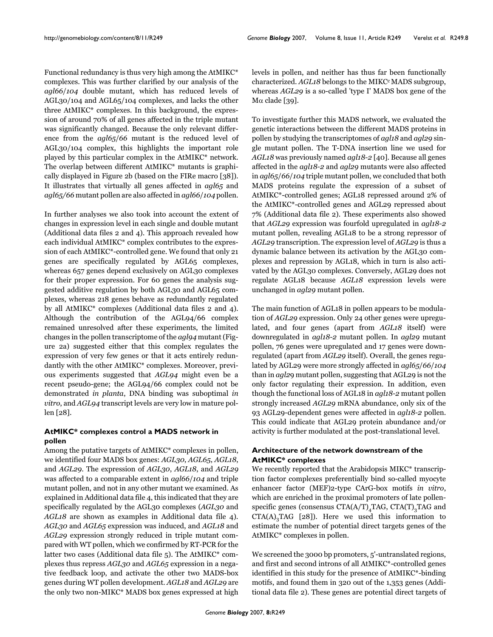Functional redundancy is thus very high among the AtMIKC\* complexes. This was further clarified by our analysis of the *agl66*/*104* double mutant, which has reduced levels of AGL30/104 and AGL65/104 complexes, and lacks the other three AtMIKC\* complexes. In this background, the expression of around 70% of all genes affected in the triple mutant was significantly changed. Because the only relevant difference from the *agl65*/*66* mutant is the reduced level of AGL30/104 complex, this highlights the important role played by this particular complex in the AtMIKC\* network. The overlap between different AtMIKC\* mutants is graphically displayed in Figure 2b (based on the FIRe macro [38]). It illustrates that virtually all genes affected in *agl65* and *agl65/66* mutant pollen are also affected in *agl66*/*104* pollen.

In further analyses we also took into account the extent of changes in expression level in each single and double mutant (Additional data files 2 and 4). This approach revealed how each individual AtMIKC\* complex contributes to the expression of each AtMIKC\*-controlled gene. We found that only 21 genes are specifically regulated by AGL65 complexes, whereas 657 genes depend exclusively on AGL30 complexes for their proper expression. For 60 genes the analysis suggested additive regulation by both AGL30 and AGL65 complexes, whereas 218 genes behave as redundantly regulated by all AtMIKC\* complexes (Additional data files 2 and 4). Although the contribution of the AGL94/66 complex remained unresolved after these experiments, the limited changes in the pollen transcriptome of the *agl94* mutant (Figure 2a) suggested either that this complex regulates the expression of very few genes or that it acts entirely redundantly with the other AtMIKC\* complexes. Moreover, previous experiments suggested that *AGL94* might even be a recent pseudo-gene; the AGL94/66 complex could not be demonstrated *in planta*, DNA binding was suboptimal *in vitro*, and *AGL94* transcript levels are very low in mature pollen [28].

# **AtMIKC\* complexes control a MADS network in pollen**

Among the putative targets of AtMIKC\* complexes in pollen, we identified four MADS box genes: *AGL30*, *AGL65*, *AGL18*, and *AGL29*. The expression of *AGL30*, *AGL18*, and *AGL29* was affected to a comparable extent in *agl66*/*104* and triple mutant pollen, and not in any other mutant we examined. As explained in Additional data file 4, this indicated that they are specifically regulated by the AGL30 complexes (*AGL30* and *AGL18* are shown as examples in Additional data file 4). *AGL30* and *AGL65* expression was induced, and *AGL18* and *AGL29* expression strongly reduced in triple mutant compared with WT pollen, which we confirmed by RT-PCR for the latter two cases (Additional data file 5). The AtMIKC\* complexes thus repress *AGL30* and *AGL65* expression in a negative feedback loop, and activate the other two MADS-box genes during WT pollen development. *AGL18* and *AGL29* are the only two non-MIKC\* MADS box genes expressed at high

levels in pollen, and neither has thus far been functionally characterized. *AGL18* belongs to the MIKC<sup>c</sup> MADS subgroup, whereas *AGL29* is a so-called 'type I' MADS box gene of the Mα clade [39].

To investigate further this MADS network, we evaluated the genetic interactions between the different MADS proteins in pollen by studying the transcriptomes of *agl18* and *agl29* single mutant pollen. The T-DNA insertion line we used for *AGL18* was previously named *agl18-2* [40]. Because all genes affected in the *agl18-2* and *agl29* mutants were also affected in *agl65*/*66*/*104* triple mutant pollen, we concluded that both MADS proteins regulate the expression of a subset of AtMIKC\*-controlled genes; AGL18 repressed around 2% of the AtMIKC\*-controlled genes and AGL29 repressed about 7% (Additional data file 2). These experiments also showed that *AGL29* expression was fourfold upregulated in *agl18-2* mutant pollen, revealing AGL18 to be a strong repressor of *AGL29* transcription. The expression level of *AGL29* is thus a dynamic balance between its activation by the AGL30 complexes and repression by AGL18, which in turn is also activated by the AGL30 complexes. Conversely, AGL29 does not regulate AGL18 because *AGL18* expression levels were unchanged in *agl29* mutant pollen.

The main function of AGL18 in pollen appears to be modulation of *AGL29* expression. Only 24 other genes were upregulated, and four genes (apart from *AGL18* itself) were downregulated in *agl18-2* mutant pollen. In *agl29* mutant pollen, 76 genes were upregulated and 17 genes were downregulated (apart from *AGL29* itself). Overall, the genes regulated by AGL29 were more strongly affected in *agl65*/*66*/*104* than in *agl2*9 mutant pollen, suggesting that AGL29 is not the only factor regulating their expression. In addition, even though the functional loss of AGL18 in *agl18-2* mutant pollen strongly increased *AGL29* mRNA abundance, only six of the 93 AGL29-dependent genes were affected in *agl18-2* pollen. This could indicate that AGL29 protein abundance and/or activity is further modulated at the post-translational level.

# **Architecture of the network downstream of the AtMIKC\* complexes**

We recently reported that the Arabidopsis MIKC\* transcription factor complexes preferentially bind so-called myocyte enhancer factor (MEF)2-type CArG-box motifs *in vitro*, which are enriched in the proximal promoters of late pollenspecific genes (consensus  $CTA(A/T)<sub>4</sub>TAG$ ,  $CTA(T)<sub>3</sub>TAG$  and  $CTA(A)$ <sub>2</sub>TAG [28]). Here we used this information to estimate the number of potential direct targets genes of the AtMIKC\* complexes in pollen.

We screened the 3000 bp promoters, 5'-untranslated regions, and first and second introns of all AtMIKC\*-controlled genes identified in this study for the presence of AtMIKC\*-binding motifs, and found them in 320 out of the 1,353 genes (Additional data file 2). These genes are potential direct targets of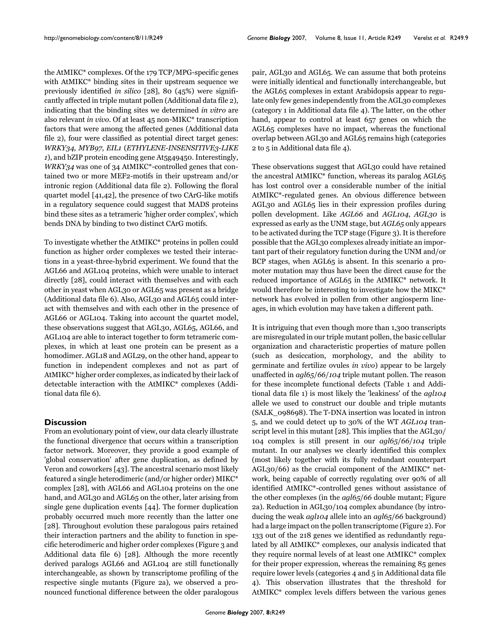the AtMIKC\* complexes. Of the 179 TCP/MPG-specific genes with AtMIKC<sup>\*</sup> binding sites in their upstream sequence we previously identified *in silico* [28], 80 (45%) were significantly affected in triple mutant pollen (Additional data file 2), indicating that the binding sites we determined *in vitro* are also relevant *in vivo*. Of at least 45 non-MIKC\* transcription factors that were among the affected genes (Additional data file 2), four were classified as potential direct target genes: *WRKY34*, *MYB97*, *EIL1* (*ETHYLENE-INSENSITIVE3-LIKE 1*), and bZIP protein encoding gene At5g49450. Interestingly, *WRKY34* was one of 34 AtMIKC\*-controlled genes that contained two or more MEF2-motifs in their upstream and/or intronic region (Additional data file 2). Following the floral quartet model [41,42], the presence of two CArG-like motifs in a regulatory sequence could suggest that MADS proteins bind these sites as a tetrameric 'higher order complex', which bends DNA by binding to two distinct CArG motifs.

To investigate whether the AtMIKC\* proteins in pollen could function as higher order complexes we tested their interactions in a yeast-three-hybrid experiment. We found that the AGL66 and AGL104 proteins, which were unable to interact directly [28], could interact with themselves and with each other in yeast when AGL30 or AGL65 was present as a bridge (Additional data file 6). Also, AGL30 and AGL65 could interact with themselves and with each other in the presence of AGL66 or AGL104. Taking into account the quartet model, these observations suggest that AGL30, AGL65, AGL66, and AGL104 are able to interact together to form tetrameric complexes, in which at least one protein can be present as a homodimer. AGL18 and AGL29, on the other hand, appear to function in independent complexes and not as part of AtMIKC\* higher order complexes, as indicated by their lack of detectable interaction with the AtMIKC\* complexes (Additional data file 6).

#### **Discussion**

From an evolutionary point of view, our data clearly illustrate the functional divergence that occurs within a transcription factor network. Moreover, they provide a good example of 'global conservation' after gene duplication, as defined by Veron and coworkers [43]. The ancestral scenario most likely featured a single heterodimeric (and/or higher order) MIKC\* complex [28], with AGL66 and AGL104 proteins on the one hand, and AGL30 and AGL65 on the other, later arising from single gene duplication events [44]. The former duplication probably occurred much more recently than the latter one [28]. Throughout evolution these paralogous pairs retained their interaction partners and the ability to function in specific heterodimeric and higher order complexes (Figure [3](#page-9-0) and Additional data file 6) [28]. Although the more recently derived paralogs AGL66 and AGL104 are still functionally interchangeable, as shown by transcriptome profiling of the respective single mutants (Figure 2a), we observed a pronounced functional difference between the older paralogous

pair, AGL30 and AGL65. We can assume that both proteins were initially identical and functionally interchangeable, but the AGL65 complexes in extant Arabidopsis appear to regulate only few genes independently from the AGL30 complexes (category 1 in Additional data file 4). The latter, on the other hand, appear to control at least 657 genes on which the AGL65 complexes have no impact, whereas the functional overlap between AGL30 and AGL65 remains high (categories 2 to 5 in Additional data file 4).

These observations suggest that AGL30 could have retained the ancestral AtMIKC\* function, whereas its paralog AGL65 has lost control over a considerable number of the initial AtMIKC\*-regulated genes. An obvious difference between AGL30 and AGL65 lies in their expression profiles during pollen development. Like *AGL66* and *AGL104*, *AGL30* is expressed as early as the UNM stage, but *AGL65* only appears to be activated during the TCP stage (Figure [3\)](#page-9-0). It is therefore possible that the AGL30 complexes already initiate an important part of their regulatory function during the UNM and/or BCP stages, when AGL65 is absent. In this scenario a promoter mutation may thus have been the direct cause for the reduced importance of AGL65 in the AtMIKC\* network. It would therefore be interesting to investigate how the MIKC\* network has evolved in pollen from other angiosperm lineages, in which evolution may have taken a different path.

It is intriguing that even though more than 1,300 transcripts are misregulated in our triple mutant pollen, the basic cellular organization and characteristic properties of mature pollen (such as desiccation, morphology, and the ability to germinate and fertilize ovules *in vivo*) appear to be largely unaffected in *agl65*/*66*/*104* triple mutant pollen. The reason for these incomplete functional defects (Table [1](#page-3-0) and Additional data file 1) is most likely the 'leakiness' of the *agl104* allele we used to construct our double and triple mutants (SALK\_098698). The T-DNA insertion was located in intron 5, and we could detect up to 30% of the WT *AGL104* transcript level in this mutant [28]. This implies that the AGL30/ 104 complex is still present in our *agl65*/*66*/*104* triple mutant. In our analyses we clearly identified this complex (most likely together with its fully redundant counterpart AGL30/66) as the crucial component of the AtMIKC\* network, being capable of correctly regulating over 90% of all identified AtMIKC\*-controlled genes without assistance of the other complexes (in the *agl65*/*66* double mutant; Figure 2a). Reduction in AGL30/104 complex abundance (by introducing the weak *agl104* allele into an *agl65*/*66* background) had a large impact on the pollen transcriptome (Figure 2). For 133 out of the 218 genes we identified as redundantly regulated by all AtMIKC\* complexes, our analysis indicated that they require normal levels of at least one AtMIKC\* complex for their proper expression, whereas the remaining 85 genes require lower levels (categories 4 and 5 in Additional data file 4). This observation illustrates that the threshold for AtMIKC\* complex levels differs between the various genes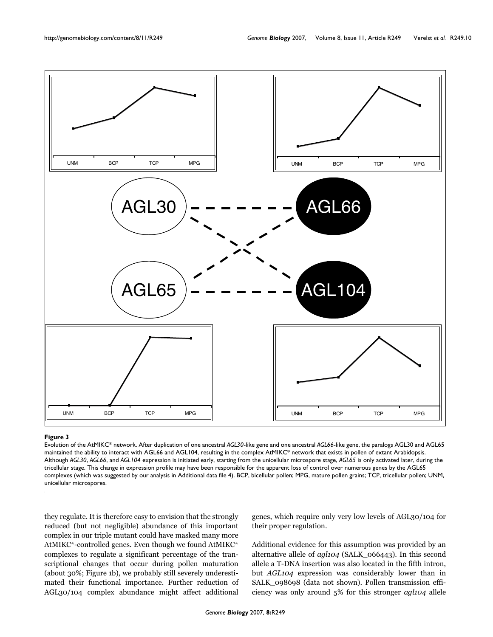<span id="page-9-0"></span>

#### **Figure 3**

Evolution of the AtMIKC\* network. After duplication of one ancestral *AGL30*-like gene and one ancestral *AGL66*-like gene, the paralogs AGL30 and AGL65 maintained the ability to interact with AGL66 and AGL104, resulting in the complex AtMIKC\* network that exists in pollen of extant Arabidopsis. Although *AGL30*, *AGL66*, and *AGL104* expression is initiated early, starting from the unicellular microspore stage, *AGL65* is only activated later, during the tricellular stage. This change in expression profile may have been responsible for the apparent loss of control over numerous genes by the AGL65 complexes (which was suggested by our analysis in Additional data file 4). BCP, bicellular pollen; MPG, mature pollen grains; TCP, tricellular pollen; UNM, unicellular microspores.

they regulate. It is therefore easy to envision that the strongly reduced (but not negligible) abundance of this important complex in our triple mutant could have masked many more AtMIKC\*-controlled genes. Even though we found AtMIKC\* complexes to regulate a significant percentage of the transcriptional changes that occur during pollen maturation (about 30%; Figure 1b), we probably still severely underestimated their functional importance. Further reduction of AGL30/104 complex abundance might affect additional genes, which require only very low levels of AGL30/104 for their proper regulation.

Additional evidence for this assumption was provided by an alternative allele of *agl104* (SALK\_066443). In this second allele a T-DNA insertion was also located in the fifth intron, but *AGL104* expression was considerably lower than in SALK\_098698 (data not shown). Pollen transmission efficiency was only around 5% for this stronger *agl104* allele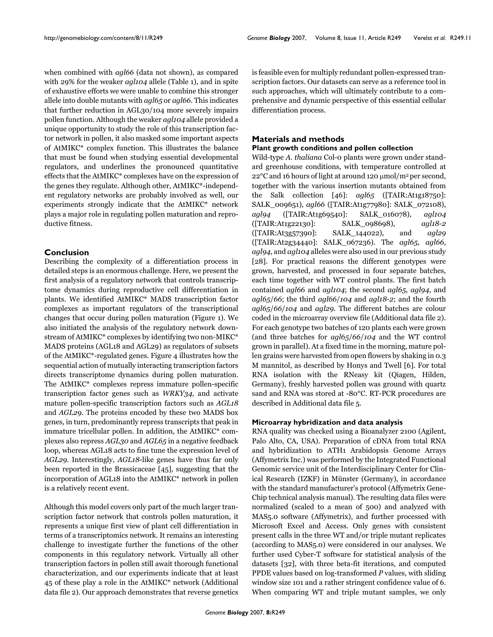when combined with *agl66* (data not shown), as compared with 29% for the weaker *agl104* allele (Table [1\)](#page-3-0), and in spite of exhaustive efforts we were unable to combine this stronger allele into double mutants with *agl65* or *agl66*. This indicates that further reduction in AGL30/104 more severely impairs pollen function. Although the weaker *agl104* allele provided a unique opportunity to study the role of this transcription factor network in pollen, it also masked some important aspects of AtMIKC\* complex function. This illustrates the balance that must be found when studying essential developmental regulators, and underlines the pronounced quantitative effects that the AtMIKC\* complexes have on the expression of the genes they regulate. Although other, AtMIKC\*-independent regulatory networks are probably involved as well, our experiments strongly indicate that the AtMIKC\* network plays a major role in regulating pollen maturation and reproductive fitness.

#### **Conclusion**

Describing the complexity of a differentiation process in detailed steps is an enormous challenge. Here, we present the first analysis of a regulatory network that controls transcriptome dynamics during reproductive cell differentiation in plants. We identified AtMIKC\* MADS transcription factor complexes as important regulators of the transcriptional changes that occur during pollen maturation (Figure 1). We also initiated the analysis of the regulatory network downstream of AtMIKC\* complexes by identifying two non-MIKC\* MADS proteins (AGL18 and AGL29) as regulators of subsets of the AtMIKC\*-regulated genes. Figure [4](#page-11-0) illustrates how the sequential action of mutually interacting transcription factors directs transcriptome dynamics during pollen maturation. The AtMIKC\* complexes repress immature pollen-specific transcription factor genes such as *WRKY34*, and activate mature pollen-specific transcription factors such as *AGL18* and *AGL29*. The proteins encoded by these two MADS box genes, in turn, predominantly repress transcripts that peak in immature tricellular pollen. In addition, the AtMIKC\* complexes also repress *AGL30* and *AGL65* in a negative feedback loop, whereas AGL18 acts to fine tune the expression level of *AGL29*. Interestingly, *AGL18*-like genes have thus far only been reported in the Brassicaceae [45], suggesting that the incorporation of AGL18 into the AtMIKC\* network in pollen is a relatively recent event.

Although this model covers only part of the much larger transcription factor network that controls pollen maturation, it represents a unique first view of plant cell differentiation in terms of a transcriptomics network. It remains an interesting challenge to investigate further the functions of the other components in this regulatory network. Virtually all other transcription factors in pollen still await thorough functional characterization, and our experiments indicate that at least 45 of these play a role in the AtMIKC\* network (Additional data file 2). Our approach demonstrates that reverse genetics

is feasible even for multiply redundant pollen-expressed transcription factors. Our datasets can serve as a reference tool in such approaches, which will ultimately contribute to a comprehensive and dynamic perspective of this essential cellular differentiation process.

# **Materials and methods**

# **Plant growth conditions and pollen collection**

Wild-type *A. thaliana* Col-0 plants were grown under standard greenhouse conditions, with temperature controlled at  $22^{\circ}$ C and 16 hours of light at around 120  $\mu$ mol/m<sup>2</sup> per second, together with the various insertion mutants obtained from the Salk collection [46]: *agl65* ([TAIR:At1g18750]: SALK\_009651), *agl66* ([TAIR:At1g77980]: SALK\_072108), *agl94* ([TAIR:At1g69540]: SALK\_016078), *agl104* ([TAIR:At1g22130]: SALK\_098698), *agl18-2* ([TAIR:At3g57390]: SALK\_144022), and *agl29* ([TAIR:At2g34440]: SALK\_067236). The *agl65*, *agl66*, *agl94*, and *agl104* alleles were also used in our previous study [28]. For practical reasons the different genotypes were grown, harvested, and processed in four separate batches, each time together with WT control plants. The first batch contained *agl66* and *agl104*; the second *agl65*, *agl94*, and *agl65*/*66*; the third *agl66*/*104* and *agl18-2*; and the fourth *agl65*/*66*/*104* and *agl29*. The different batches are colour coded in the microarray overview file (Additional data file 2). For each genotype two batches of 120 plants each were grown (and three batches for *agl65*/*66*/*104* and the WT control grown in parallel). At a fixed time in the morning, mature pollen grains were harvested from open flowers by shaking in 0.3 M mannitol, as described by Honys and Twell [6]. For total RNA isolation with the RNeasy kit (Qiagen, Hilden, Germany), freshly harvested pollen was ground with quartz sand and RNA was stored at -80°C. RT-PCR procedures are described in Additional data file 5.

#### **Microarray hybridization and data analysis**

RNA quality was checked using a Bioanalyzer 2100 (Agilent, Palo Alto, CA, USA). Preparation of cDNA from total RNA and hybridization to ATH1 Arabidopsis Genome Arrays (Affymetrix Inc.) was performed by the Integrated Functional Genomic service unit of the Interdisciplinary Center for Clinical Research (IZKF) in Münster (Germany), in accordance with the standard manufacturer's protocol (Affymetrix Gene-Chip technical analysis manual). The resulting data files were normalized (scaled to a mean of 500) and analyzed with MAS5.0 software (Affymetrix), and further processed with Microsoft Excel and Access. Only genes with consistent present calls in the three WT and/or triple mutant replicates (according to MAS5.0) were considered in our analyses. We further used Cyber-T software for statistical analysis of the datasets [32], with three beta-fit iterations, and computed PPDE values based on log-transformed *P* values, with sliding window size 101 and a rather stringent confidence value of 6. When comparing WT and triple mutant samples, we only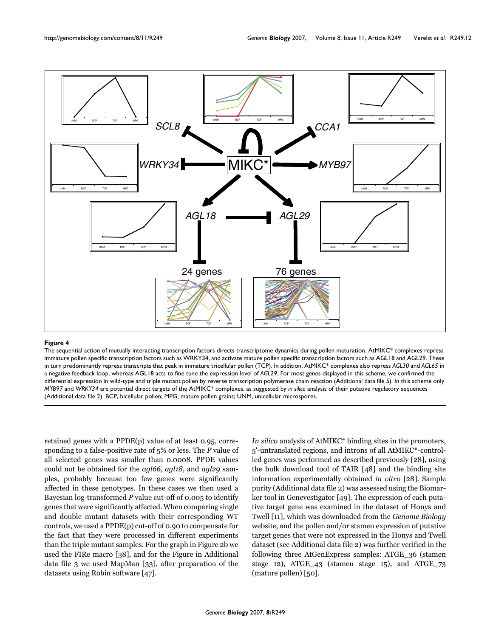<span id="page-11-0"></span>

#### The sequential action of mutually intera **Figure 4** cting transcription factors directs transcriptome dynamics during pollen maturation

The sequential action of mutually interacting transcription factors directs transcriptome dynamics during pollen maturation. AtMIKC\* complexes repress immature pollen specific transcription factors such as WRKY34, and activate mature pollen specific transcription factors such as AGL18 and AGL29. These in turn predominantly repress transcripts that peak in immature tricellular pollen (TCP). In addition, AtMIKC\* complexes also repress *AGL30* and *AGL65* in a negative feedback loop, whereas AGL18 acts to fine tune the expression level of *AGL29*. For most genes displayed in this scheme, we confirmed the differential expression in wild-type and triple mutant pollen by reverse transcription polymerase chain reaction (Additional data file 5). In this scheme only *MYB97* and *WRKY34* are potential direct targets of the AtMIKC\* complexes, as suggested by *in silico* analysis of their putative regulatory sequences (Additional data file 2). BCP, bicellular pollen; MPG, mature pollen grains; UNM, unicellular microspores.

retained genes with a PPDE(p) value of at least 0.95, corresponding to a false-positive rate of 5% or less. The *P* value of all selected genes was smaller than 0.0008. PPDE values could not be obtained for the *agl66*, *agl18*, and *agl29* samples, probably because too few genes were significantly affected in these genotypes. In these cases we then used a Bayesian log-transformed *P* value cut-off of 0.005 to identify genes that were significantly affected. When comparing single and double mutant datasets with their corresponding WT controls, we used a PPDE(p) cut-off of 0.90 to compensate for the fact that they were processed in different experiments than the triple mutant samples. For the graph in Figure 2b we used the FIRe macro [38], and for the Figure in Additional data file 3 we used MapMan [33], after preparation of the datasets using Robin software [47].

*In silico* analysis of AtMIKC\* binding sites in the promoters, 5'-untranslated regions, and introns of all AtMIKC\*-controlled genes was performed as described previously [28], using the bulk download tool of TAIR [48] and the binding site information experimentally obtained *in vitro* [28]. Sample purity (Additional data file 2) was assessed using the Biomarker tool in Genevestigator [49]. The expression of each putative target gene was examined in the dataset of Honys and Twell [11], which was downloaded from the *Genome Biology* website, and the pollen and/or stamen expression of putative target genes that were not expressed in the Honys and Twell dataset (see Additional data file 2) was further verified in the following three AtGenExpress samples: ATGE\_36 (stamen stage 12), ATGE\_43 (stamen stage 15), and ATGE\_73 (mature pollen) [50].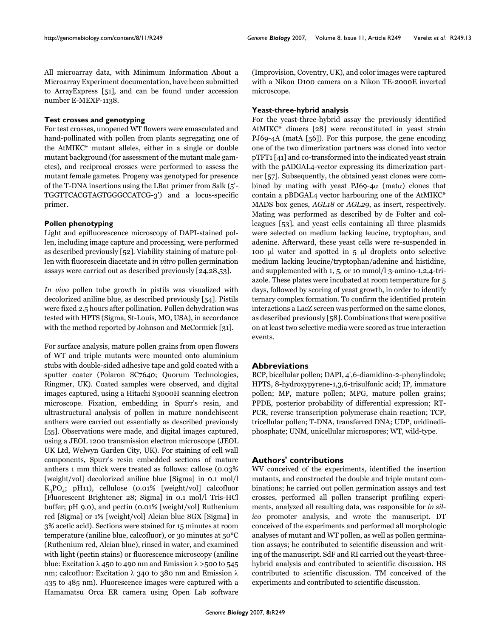All microarray data, with Minimum Information About a Microarray Experiment documentation, have been submitted to ArrayExpress [51], and can be found under accession number E-MEXP-1138.

#### **Test crosses and genotyping**

For test crosses, unopened WT flowers were emasculated and hand-pollinated with pollen from plants segregating one of the AtMIKC\* mutant alleles, either in a single or double mutant background (for assessment of the mutant male gametes), and reciprocal crosses were performed to assess the mutant female gametes. Progeny was genotyped for presence of the T-DNA insertions using the LBa1 primer from Salk (5'- TGGTTCACGTAGTGGGCCATCG-3') and a locus-specific primer.

#### **Pollen phenotyping**

Light and epifluorescence microscopy of DAPI-stained pollen, including image capture and processing, were performed as described previously [\[52](#page-14-0)]. Viability staining of mature pollen with fluorescein diacetate and *in vitro* pollen germination assays were carried out as described previously [24,28,53].

*In vivo* pollen tube growth in pistils was visualized with decolorized aniline blue, as described previously [54]. Pistils were fixed 2.5 hours after pollination. Pollen dehydration was tested with HPTS (Sigma, St-Louis, MO, USA), in accordance with the method reported by Johnson and McCormick [31].

For surface analysis, mature pollen grains from open flowers of WT and triple mutants were mounted onto aluminium stubs with double-sided adhesive tape and gold coated with a sputter coater (Polaron SC7640; Quorum Technologies, Ringmer, UK). Coated samples were observed, and digital images captured, using a Hitachi S3000H scanning electron microscope. Fixation, embedding in Spurr's resin, and ultrastructural analysis of pollen in mature nondehiscent anthers were carried out essentially as described previously [55]. Observations were made, and digital images captured, using a JEOL 1200 transmission electron microscope (JEOL UK Ltd, Welwyn Garden City, UK). For staining of cell wall components, Spurr's resin embedded sections of mature anthers 1 mm thick were treated as follows: callose (0.03% [weight/vol] decolorized aniline blue [Sigma] in 0.1 mol/l  $K_2PO_4$ ; pH11), cellulose (0.01% [weight/vol] calcofluor [Fluorescent Brightener 28; Sigma] in 0.1 mol/l Tris-HCl buffer; pH 9.0), and pectin (0.01% [weight/vol] Ruthenium red [Sigma] or 1% [weight/vol] Alcian blue 8GX [Sigma] in 3% acetic acid). Sections were stained for 15 minutes at room temperature (aniline blue, calcofluor), or 30 minutes at 50°C (Ruthenium red, Alcian blue), rinsed in water, and examined with light (pectin stains) or fluorescence microscopy (aniline blue: Excitation  $\lambda$  450 to 490 nm and Emission  $\lambda$  >500 to 545 nm; calcofluor: Excitation λ 340 to 380 nm and Emission λ 435 to 485 nm). Fluorescence images were captured with a Hamamatsu Orca ER camera using Open Lab software (Improvision, Coventry, UK), and color images were captured with a Nikon D100 camera on a Nikon TE-2000E inverted microscope.

#### **Yeast-three-hybrid analysis**

For the yeast-three-hybrid assay the previously identified AtMIKC\* dimers [28] were reconstituted in yeast strain PJ69-4A (matA [56]). For this purpose, the gene encoding one of the two dimerization partners was cloned into vector pTFT1 [41] and co-transformed into the indicated yeast strain with the pADGAL4-vector expressing its dimerization partner [57]. Subsequently, the obtained yeast clones were combined by mating with yeast PJ69-4 $\alpha$  (mat $\alpha$ ) clones that contain a pBDGAL4 vector harbouring one of the AtMIKC\* MADS box genes, *AGL18* or *AGL29*, as insert, respectively. Mating was performed as described by de Folter and colleagues [53], and yeast cells containing all three plasmids were selected on medium lacking leucine, tryptophan, and adenine. Afterward, these yeast cells were re-suspended in 100 μl water and spotted in 5 μl droplets onto selective medium lacking leucine/tryptophan/adenine and histidine, and supplemented with 1, 5, or 10 mmol/l 3-amino-1,2,4-triazole. These plates were incubated at room temperature for 5 days, followed by scoring of yeast growth, in order to identify ternary complex formation. To confirm the identified protein interactions a LacZ screen was performed on the same clones, as described previously [58]. Combinations that were positive on at least two selective media were scored as true interaction events.

# **Abbreviations**

BCP, bicellular pollen; DAPI, 4',6-diamidino-2-phenylindole; HPTS, 8-hydroxypyrene-1,3,6-trisulfonic acid; IP, immature pollen; MP, mature pollen; MPG, mature pollen grains; PPDE, posterior probability of differential expression; RT-PCR, reverse transcription polymerase chain reaction; TCP, tricellular pollen; T-DNA, transferred DNA; UDP, uridinediphosphate; UNM, unicellular microspores; WT, wild-type.

#### **Authors' contributions**

WV conceived of the experiments, identified the insertion mutants, and constructed the double and triple mutant combinations; he carried out pollen germination assays and test crosses, performed all pollen transcript profiling experiments, analyzed all resulting data, was responsible for *in silico* promoter analysis, and wrote the manuscript. DT conceived of the experiments and performed all morphologic analyses of mutant and WT pollen, as well as pollen germination assays; he contributed to scientific discussion and writing of the manuscript. SdF and RI carried out the yeast-threehybrid analysis and contributed to scientific discussion. HS contributed to scientific discussion. TM conceived of the experiments and contributed to scientific discussion.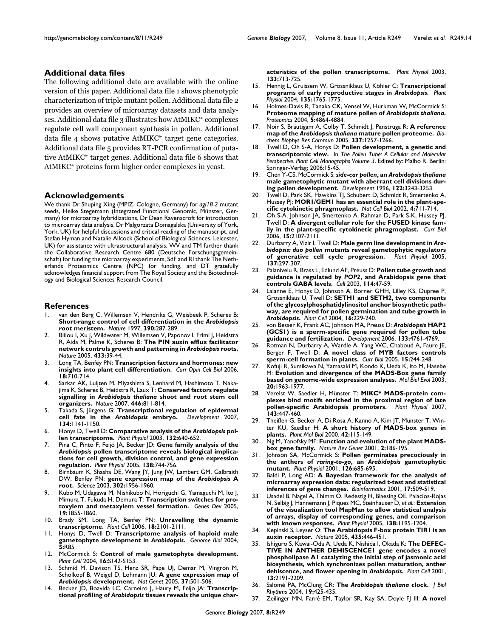#### **Additional data files**

The following additional data are available with the online version of this paper. Additional data file 1 shows phenotypic characterization of triple mutant pollen. Additional data file 2 provides an overview of microarray datasets and data analyses. Additional data file 3 illustrates how AtMIKC\* complexes regulate cell wall component synthesis in pollen. Additional data file 4 shows putative AtMIKC\* target gene categories. Additional data file 5 provides RT-PCR confirmation of putative AtMIKC\* target genes. Additional data file 6 shows that AtMIKC\* proteins form higher order complexes in yeast.

#### **Acknowledgements**

We thank Dr Shuping Xing (MPIZ, Cologne, Germany) for *agl18-2* mutant seeds, Heike Stegemann (Integrated Functional Genomic, Münster, Germany) for microarray hybridizations, Dr Dean Ravenscroft for introduction to microarray data analysis, Dr Malgorzata Domagalska (University of York, York, UK) for helpful discussions and critical reading of the manuscript, and Stefan Hyman and Natalie Allcock (School of Biological Sciences, Leicester, UK) for assistance with ultrastructural analysis. WV and TM further thank the Collaborative Research Centre 680 (Deutsche Forschungsgemeinschaft) for funding the microarray experiments, SdF and RI thank The Netherlands Proteomics Centre (NPC) for funding, and DT gratefully acknowledges financial support from The Royal Society and the Biotechnology and Biological Sciences Research Council.

#### **References**

- 1. van den Berg C, Willemsen V, Hendriks G, Weisbeek P, Scheres B: **Short-range control of cell differentiation in the** *Arabidopsis* **[root meristem.](http://www.ncbi.nlm.nih.gov/entrez/query.fcgi?cmd=Retrieve&db=PubMed&dopt=Abstract&list_uids=9384380)** *Nature* 1997, **390:**287-289.
- 2. Blilou I, Xu J, Wildwater M, Willemsen V, Paponov I, Friml J, Heidstra R, Aida M, Palme K, Scheres B: **The PIN auxin efflux facilitator network controls growth and patterning in** *Arabidopsis* **[roots.](http://www.ncbi.nlm.nih.gov/entrez/query.fcgi?cmd=Retrieve&db=PubMed&dopt=Abstract&list_uids=15635403)** *Nature* 2005, **433:**39-44.
- 3. Long TA, Benfey PN: **[Transcription factors and hormones: new](http://www.ncbi.nlm.nih.gov/entrez/query.fcgi?cmd=Retrieve&db=PubMed&dopt=Abstract&list_uids=17034999) [insights into plant cell differentiation.](http://www.ncbi.nlm.nih.gov/entrez/query.fcgi?cmd=Retrieve&db=PubMed&dopt=Abstract&list_uids=17034999)** *Curr Opin Cell Biol* 2006, **18:**710-714.
- Sarkar AK, Luijten M, Miyashima S, Lenhard M, Hashimoto T, Nakajima K, Scheres B, Heidstra R, Laux T: **Conserved factors regulate signalling in** *Arabidopsis thaliana* **[shoot and root stem cell](http://www.ncbi.nlm.nih.gov/entrez/query.fcgi?cmd=Retrieve&db=PubMed&dopt=Abstract&list_uids=17429400) [organizers.](http://www.ncbi.nlm.nih.gov/entrez/query.fcgi?cmd=Retrieve&db=PubMed&dopt=Abstract&list_uids=17429400)** *Nature* 2007, **446:**811-814.
- 5. Takada S, Jürgens G: **Transcriptional regulation of epidermal cell fate in the** *Arabidopsis* **[embryo.](http://www.ncbi.nlm.nih.gov/entrez/query.fcgi?cmd=Retrieve&db=PubMed&dopt=Abstract&list_uids=17301085)** *Development* 2007, **134:**1141-1150.
- 6. Honys D, Twell D: **Comparative analysis of the** *Arabidopsis* **[pol](http://www.ncbi.nlm.nih.gov/entrez/query.fcgi?cmd=Retrieve&db=PubMed&dopt=Abstract&list_uids=12805594)[len transcriptome.](http://www.ncbi.nlm.nih.gov/entrez/query.fcgi?cmd=Retrieve&db=PubMed&dopt=Abstract&list_uids=12805594)** *Plant Physiol* 2003, **132:**640-652.
- 7. Pina C, Pinto F, Feijó JA, Becker JD: **Gene family analysis of the** *Arabidopsis* **[pollen transcriptome reveals biological implica](http://www.ncbi.nlm.nih.gov/entrez/query.fcgi?cmd=Retrieve&db=PubMed&dopt=Abstract&list_uids=15908605)[tions for cell growth, division control, and gene expression](http://www.ncbi.nlm.nih.gov/entrez/query.fcgi?cmd=Retrieve&db=PubMed&dopt=Abstract&list_uids=15908605) [regulation.](http://www.ncbi.nlm.nih.gov/entrez/query.fcgi?cmd=Retrieve&db=PubMed&dopt=Abstract&list_uids=15908605)** *Plant Physiol* 2005, **138:**744-756.
- 8. Birnbaum K, Shasha DE, Wang JY, Jung JW, Lambert GM, Galbraith DW, Benfey PN: **gene expression map of the** *Arabidopsis* **[A](http://www.ncbi.nlm.nih.gov/entrez/query.fcgi?cmd=Retrieve&db=PubMed&dopt=Abstract&list_uids=14671301) [root.](http://www.ncbi.nlm.nih.gov/entrez/query.fcgi?cmd=Retrieve&db=PubMed&dopt=Abstract&list_uids=14671301)** *Science* 2003, **302:**1956-1960.
- 9. Kubo M, Udagawa M, Nishikubo N, Horiguchi G, Yamaguchi M, Ito J, Mimura T, Fukuda H, Demura T: **[Transcription switches for pro](http://www.ncbi.nlm.nih.gov/entrez/query.fcgi?cmd=Retrieve&db=PubMed&dopt=Abstract&list_uids=16103214)[toxylem and metaxylem vessel formation.](http://www.ncbi.nlm.nih.gov/entrez/query.fcgi?cmd=Retrieve&db=PubMed&dopt=Abstract&list_uids=16103214)** *Genes Dev* 2005, **19:**1855-1860.
- 10. Brady SM, Long TA, Benfey PN: **[Unravelling the dynamic](http://www.ncbi.nlm.nih.gov/entrez/query.fcgi?cmd=Retrieve&db=PubMed&dopt=Abstract&list_uids=16968906) [transcriptome.](http://www.ncbi.nlm.nih.gov/entrez/query.fcgi?cmd=Retrieve&db=PubMed&dopt=Abstract&list_uids=16968906)** *Plant Cell* 2006, **18:**2101-2111.
- 11. Honys D, Twell D: **Transcriptome analysis of haploid male gametophyte development in** *Arabidopsis***[.](http://www.ncbi.nlm.nih.gov/entrez/query.fcgi?cmd=Retrieve&db=PubMed&dopt=Abstract&list_uids=15535861)** *Genome Biol* 2004, **5:**R85.
- 12. McCormick S: **[Control of male gametophyte development.](http://www.ncbi.nlm.nih.gov/entrez/query.fcgi?cmd=Retrieve&db=PubMed&dopt=Abstract&list_uids=15037731)** *Plant Cell* 2004, **16:**S142-S153.
- 13. Schmid M, Davison TS, Henz SR, Pape UJ, Demar M, Vingron M, Scholkopf B, Weigel D, Lohmann JU: **A gene expression map of** *Arabidopsis* **[development.](http://www.ncbi.nlm.nih.gov/entrez/query.fcgi?cmd=Retrieve&db=PubMed&dopt=Abstract&list_uids=15806101)** *Nat Genet* 2005, **37:**501-506.
- 14. Becker JD, Boavida LC, Carneiro J, Haury M, Feijo JA: **Transcriptional profiling of** *Arabidopsis* **[tissues reveals the unique char-](http://www.ncbi.nlm.nih.gov/entrez/query.fcgi?cmd=Retrieve&db=PubMed&dopt=Abstract&list_uids=14500793)**

**[acteristics of the pollen transcriptome.](http://www.ncbi.nlm.nih.gov/entrez/query.fcgi?cmd=Retrieve&db=PubMed&dopt=Abstract&list_uids=14500793)** *Plant Physiol* 2003, **133:**713-725.

- 15. Hennig L, Gruissem W, Grossniklaus U, Köhler C: **Transcriptional programs of early reproductive stages in** *Arabidopsis***[.](http://www.ncbi.nlm.nih.gov/entrez/query.fcgi?cmd=Retrieve&db=PubMed&dopt=Abstract&list_uids=15247381)** *Plant Physiol* 2004, **135:**1765-1775.
- 16. Holmes-Davis R, Tanaka CK, Vensel W, Hurkman W, McCormick S: **Proteome mapping of mature pollen of** *Arabidopsis thaliana***.** *Proteomics* 2004, **5:**4864-4884.
- 17. Noir S, Bräutigam A, Colby T, Schmidt J, Panstruga R: **A reference map of the** *Arabidopsis thaliana* **[mature pollen proteome.](http://www.ncbi.nlm.nih.gov/entrez/query.fcgi?cmd=Retrieve&db=PubMed&dopt=Abstract&list_uids=16242667)** *Biochem Biophys Res Commun* 2005, **337:**1257-1266.
- 18. Twell D, Oh S-A, Honys D: **Pollen development, a genetic and transcriptomic view.** In *The Pollen Tube: A Cellular and Molecular Perspective. Plant Cell Monographs Volume 3*. Edited by: Malho R. Berlin: Springer-Verlag; 2006:15-45.
- <span id="page-13-0"></span>19. Chen Y-CS, McCormick S: *side-car pollen***, an** *Arabidopsis thaliana* **[male gametophytic mutant with aberrant cell divisions dur](http://www.ncbi.nlm.nih.gov/entrez/query.fcgi?cmd=Retrieve&db=PubMed&dopt=Abstract&list_uids=8898236)[ing pollen development.](http://www.ncbi.nlm.nih.gov/entrez/query.fcgi?cmd=Retrieve&db=PubMed&dopt=Abstract&list_uids=8898236)** *Development* 1996, **122:**3243-3253.
- 20. Twell D, Park SK, Hawkins TJ, Schubert D, Schmidt R, Smertenko A, Hussey PJ: **[MOR1/GEM1 has an essential role in the plant-spe](http://www.ncbi.nlm.nih.gov/entrez/query.fcgi?cmd=Retrieve&db=PubMed&dopt=Abstract&list_uids=12198497)[cific cytokinetic phragmoplast.](http://www.ncbi.nlm.nih.gov/entrez/query.fcgi?cmd=Retrieve&db=PubMed&dopt=Abstract&list_uids=12198497)** *Nat Cell Biol* 2002, **4:**711-714.
- 21. Oh S-A, Johnson JA, Smertenko A, Rahman D, Park S-K, Hussey PJ, Twell D: **A divergent cellular role for the FUSED kinase family in the plant-specific cytokinetic phragmoplast.** *Curr Biol* 2006, **15:**2107-2111.
- 22. Durbarry A, Vizir I, Twell D: **Male germ line development in** *Arabidopsis: duo pollen* **[mutants reveal gametophytic regulators](http://www.ncbi.nlm.nih.gov/entrez/query.fcgi?cmd=Retrieve&db=PubMed&dopt=Abstract&list_uids=15618418) [of generative cell cycle progression.](http://www.ncbi.nlm.nih.gov/entrez/query.fcgi?cmd=Retrieve&db=PubMed&dopt=Abstract&list_uids=15618418)** *Plant Physiol* 2005, **137:**297-307.
- 23. Palanivelu R, Brass L, Edlund AF, Preuss D: **Pollen tube growth and guidance is regulated by** *POP2***[, and Arabidopsis gene that](http://www.ncbi.nlm.nih.gov/entrez/query.fcgi?cmd=Retrieve&db=PubMed&dopt=Abstract&list_uids=12859897) [controls GABA levels.](http://www.ncbi.nlm.nih.gov/entrez/query.fcgi?cmd=Retrieve&db=PubMed&dopt=Abstract&list_uids=12859897)** *Cell* 2003, **114:**47-59.
- 24. Lalanne E, Honys D, Johnson A, Borner GHH, Lilley KS, Dupree P, Grossniklaus U, Twell D: **SETH1 and SETH2, two components of the glycosylphosphatidylinositol anchor biosynthetic pathway, are required for pollen germination and tube growth in** *Arabidopsis***[.](http://www.ncbi.nlm.nih.gov/entrez/query.fcgi?cmd=Retrieve&db=PubMed&dopt=Abstract&list_uids=14671020)** *Plant Cell* 2004, **16:**229-240.
- 25. von Besser K, Frank AC, Johnson MA, Preuss D: *Arabidopsis* **[HAP2](http://www.ncbi.nlm.nih.gov/entrez/query.fcgi?cmd=Retrieve&db=PubMed&dopt=Abstract&list_uids=17079265) [\(GCS1\) is a sperm-specific gene required for pollen tube](http://www.ncbi.nlm.nih.gov/entrez/query.fcgi?cmd=Retrieve&db=PubMed&dopt=Abstract&list_uids=17079265) [guidance and fertilization.](http://www.ncbi.nlm.nih.gov/entrez/query.fcgi?cmd=Retrieve&db=PubMed&dopt=Abstract&list_uids=17079265)** *Development* 2006, **133:**4761-4769.
- 26. Rotman N, Durbarry A, Wardle A, Yang WC, Chaboud A, Faure JE, Berger F, Twell D: **[A novel class of MYB factors controls](http://www.ncbi.nlm.nih.gov/entrez/query.fcgi?cmd=Retrieve&db=PubMed&dopt=Abstract&list_uids=15694308) [sperm-cell formation in plants.](http://www.ncbi.nlm.nih.gov/entrez/query.fcgi?cmd=Retrieve&db=PubMed&dopt=Abstract&list_uids=15694308)** *Curr Biol* 2005, **15:**244-248.
- 27. Kofuji R, Sumikawa N, Yamasaki M, Kondo K, Ueda K, Ito M, Hasebe M: **[Evolution and divergence of the MADS-Box gene family](http://www.ncbi.nlm.nih.gov/entrez/query.fcgi?cmd=Retrieve&db=PubMed&dopt=Abstract&list_uids=12949148) [based on genome-wide expression analyses.](http://www.ncbi.nlm.nih.gov/entrez/query.fcgi?cmd=Retrieve&db=PubMed&dopt=Abstract&list_uids=12949148)** *Mol Biol Evol* 2003, **20:**1963-1977.
- 28. Verelst W, Saedler H, Münster T: **[MIKC\\* MADS-protein com](http://www.ncbi.nlm.nih.gov/entrez/query.fcgi?cmd=Retrieve&db=PubMed&dopt=Abstract&list_uids=17071640)[plexes bind motifs enriched in the proximal region of late](http://www.ncbi.nlm.nih.gov/entrez/query.fcgi?cmd=Retrieve&db=PubMed&dopt=Abstract&list_uids=17071640) [pollen-specific Arabidopsis promoters.](http://www.ncbi.nlm.nih.gov/entrez/query.fcgi?cmd=Retrieve&db=PubMed&dopt=Abstract&list_uids=17071640)** *Plant Physiol* 2007, **143:**447-460.
- 29. Theißen G, Becker A, Di Rosa A, Kanno A, Kim JT, Münster T, Winter KU, Saedler H: **[A short history of MADS-box genes in](http://www.ncbi.nlm.nih.gov/entrez/query.fcgi?cmd=Retrieve&db=PubMed&dopt=Abstract&list_uids=10688133) [plants.](http://www.ncbi.nlm.nih.gov/entrez/query.fcgi?cmd=Retrieve&db=PubMed&dopt=Abstract&list_uids=10688133)** *Plant Mol Biol* 2000, **42:**115-149.
- 30. Ng M, Yanofsky MF: **Function and evolution of the plant MADSbox gene family.** *Nature Rev Genet* 2001, **2:**186-195.
- 31. Johnson SA, McCormick S: **Pollen germinates precociously in the anthers of** *raring-to-go***, an** *Arabidopsis* **[gametophytic](http://www.ncbi.nlm.nih.gov/entrez/query.fcgi?cmd=Retrieve&db=PubMed&dopt=Abstract&list_uids=11402197) [mutant.](http://www.ncbi.nlm.nih.gov/entrez/query.fcgi?cmd=Retrieve&db=PubMed&dopt=Abstract&list_uids=11402197)** *Plant Physiol* 2001, **126:**685-695.
- 32. Baldi P, Long AD: **[A Bayesian framework for the analysis of](http://www.ncbi.nlm.nih.gov/entrez/query.fcgi?cmd=Retrieve&db=PubMed&dopt=Abstract&list_uids=11395427) [microarray expression data: regularized t-test and statistical](http://www.ncbi.nlm.nih.gov/entrez/query.fcgi?cmd=Retrieve&db=PubMed&dopt=Abstract&list_uids=11395427) [inferences of gene changes.](http://www.ncbi.nlm.nih.gov/entrez/query.fcgi?cmd=Retrieve&db=PubMed&dopt=Abstract&list_uids=11395427)** *Bioinformatics* 2001, **17:**509-519.
- 33. Usadel B, Nagel A, Thimm O, Redestig H, Blaesing OE, Palacios-Rojas N, Selbig J, Hannemann J, Piques MC, Steinhauser D, *et al.*: **[Extension](http://www.ncbi.nlm.nih.gov/entrez/query.fcgi?cmd=Retrieve&db=PubMed&dopt=Abstract&list_uids=16009995) [of the visualization tool MapMan to allow statistical analysis](http://www.ncbi.nlm.nih.gov/entrez/query.fcgi?cmd=Retrieve&db=PubMed&dopt=Abstract&list_uids=16009995) of arrays, display of corresponding genes, and comparison [with known responses.](http://www.ncbi.nlm.nih.gov/entrez/query.fcgi?cmd=Retrieve&db=PubMed&dopt=Abstract&list_uids=16009995)** *Plant Physiol* 2005, **138:**1195-1204.
- 34. Kepinski S, Leyser O: **[The Arabidopsis F-box protein TIR1 is an](http://www.ncbi.nlm.nih.gov/entrez/query.fcgi?cmd=Retrieve&db=PubMed&dopt=Abstract&list_uids=15917798) [auxin receptor.](http://www.ncbi.nlm.nih.gov/entrez/query.fcgi?cmd=Retrieve&db=PubMed&dopt=Abstract&list_uids=15917798)** *Nature* 2005, **435:**446-451.
- 35. Ishiguro S, Kawai-Oda A, Ueda K, Nishida I, Okada K: **The DEFEC-TIVE IN ANTHER DEHISCENCE1 gene encodes a novel phospholipase A1 catalyzing the initial step of jasmonic acid biosynthesis, which synchronizes pollen maturation, anther dehiscence, and flower opening in** *Arabidopsis***[.](http://www.ncbi.nlm.nih.gov/entrez/query.fcgi?cmd=Retrieve&db=PubMed&dopt=Abstract&list_uids=11595796)** *Plant Cell* 2001, **13:**2191-2209.
- 36. Salomé PA, McClung CR: **The** *Arabidopsis thaliana* **[clock.](http://www.ncbi.nlm.nih.gov/entrez/query.fcgi?cmd=Retrieve&db=PubMed&dopt=Abstract&list_uids=15534322)** *J Biol Rhythms* 2004, **19:**425-435.
- 37. Zeilinger MN, Farré EM, Taylor SR, Kay SA, Doyle FJ III: **A novel**